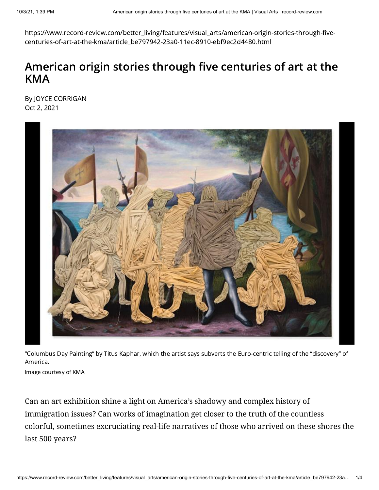https://www.record-review.com/better\_living/features/visual\_arts/american-origin-stories-through-fivecenturies-of-art-at-the-kma/article\_be797942-23a0-11ec-8910-ebf9ec2d4480.html

## American origin stories through five centuries of art at the KMA

By JOYCE CORRIGAN Oct 2, 2021



"Columbus Day Painting" by Titus Kaphar, which the artist says subverts the Euro-centric telling of the "discovery" of America.

Image courtesy of KMA

Can an art exhibition shine a light on America's shadowy and complex history of immigration issues? Can works of imagination get closer to the truth of the countless colorful, sometimes excruciating real-life narratives of those who arrived on these shores the last 500 years?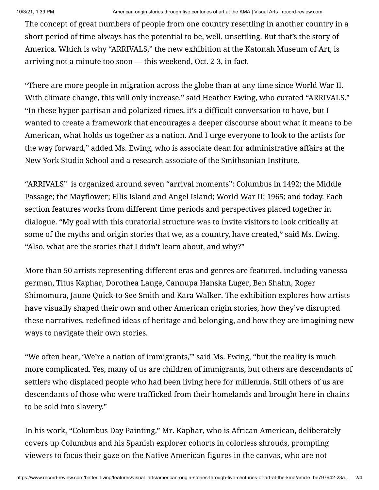The concept of great numbers of people from one country resettling in another country in a short period of time always has the potential to be, well, unsettling. But that's the story of America. Which is why "ARRIVALS," the new exhibition at the Katonah Museum of Art, is arriving not a minute too soon — this weekend, Oct. 2-3, in fact.

"There are more people in migration across the globe than at any time since World War II. With climate change, this will only increase," said Heather Ewing, who curated "ARRIVALS." "In these hyper-partisan and polarized times, it's a difficult conversation to have, but I wanted to create a framework that encourages a deeper discourse about what it means to be American, what holds us together as a nation. And I urge everyone to look to the artists for the way forward," added Ms. Ewing, who is associate dean for administrative affairs at the New York Studio School and a research associate of the Smithsonian Institute.

"ARRIVALS" is organized around seven "arrival moments": Columbus in 1492; the Middle Passage; the Mayflower; Ellis Island and Angel Island; World War II; 1965; and today. Each section features works from different time periods and perspectives placed together in dialogue. "My goal with this curatorial structure was to invite visitors to look critically at some of the myths and origin stories that we, as a country, have created," said Ms. Ewing. "Also, what are the stories that I didn't learn about, and why?"

More than 50 artists representing different eras and genres are featured, including vanessa german, Titus Kaphar, Dorothea Lange, Cannupa Hanska Luger, Ben Shahn, Roger Shimomura, Jaune Quick-to-See Smith and Kara Walker. The exhibition explores how artists have visually shaped their own and other American origin stories, how they've disrupted these narratives, redefined ideas of heritage and belonging, and how they are imagining new ways to navigate their own stories.

"We often hear, 'We're a nation of immigrants,'" said Ms. Ewing, "but the reality is much more complicated. Yes, many of us are children of immigrants, but others are descendants of settlers who displaced people who had been living here for millennia. Still others of us are descendants of those who were trafficked from their homelands and brought here in chains to be sold into slavery."

In his work, "Columbus Day Painting," Mr. Kaphar, who is African American, deliberately covers up Columbus and his Spanish explorer cohorts in colorless shrouds, prompting viewers to focus their gaze on the Native American figures in the canvas, who are not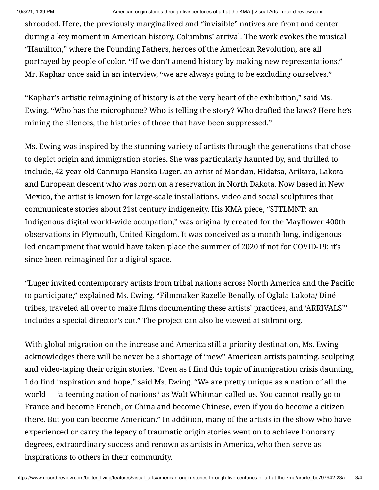shrouded. Here, the previously marginalized and "invisible" natives are front and center during a key moment in American history, Columbus' arrival. The work evokes the musical "Hamilton," where the Founding Fathers, heroes of the American Revolution, are all portrayed by people of color. "If we don't amend history by making new representations," Mr. Kaphar once said in an interview, "we are always going to be excluding ourselves."

"Kaphar's artistic reimagining of history is at the very heart of the exhibition," said Ms. Ewing. "Who has the microphone? Who is telling the story? Who drafted the laws? Here he's mining the silences, the histories of those that have been suppressed."

Ms. Ewing was inspired by the stunning variety of artists through the generations that chose to depict origin and immigration stories. She was particularly haunted by, and thrilled to include, 42-year-old Cannupa Hanska Luger, an artist of Mandan, Hidatsa, Arikara, Lakota and European descent who was born on a reservation in North Dakota. Now based in New Mexico, the artist is known for large-scale installations, video and social sculptures that communicate stories about 21st century indigeneity. His KMA piece, "STTLMNT: an Indigenous digital world-wide occupation," was originally created for the Mayflower 400th observations in Plymouth, United Kingdom. It was conceived as a month-long, indigenousled encampment that would have taken place the summer of 2020 if not for COVID-19; it's since been reimagined for a digital space.

"Luger invited contemporary artists from tribal nations across North America and the Pacific to participate," explained Ms. Ewing. "Filmmaker Razelle Benally, of Oglala Lakota/ Diné tribes, traveled all over to make films documenting these artists' practices, and 'ARRIVALS"' includes a special director's cut." The project can also be viewed at [sttlmnt.org.](http://sttlmnt.org/)

With global migration on the increase and America still a priority destination, Ms. Ewing acknowledges there will be never be a shortage of "new" American artists painting, sculpting and video-taping their origin stories. "Even as I find this topic of immigration crisis daunting, I do find inspiration and hope," said Ms. Ewing. "We are pretty unique as a nation of all the world — 'a teeming nation of nations,' as Walt Whitman called us. You cannot really go to France and become French, or China and become Chinese, even if you do become a citizen there. But you can become American." In addition, many of the artists in the show who have experienced or carry the legacy of traumatic origin stories went on to achieve honorary degrees, extraordinary success and renown as artists in America, who then serve as inspirations to others in their community.